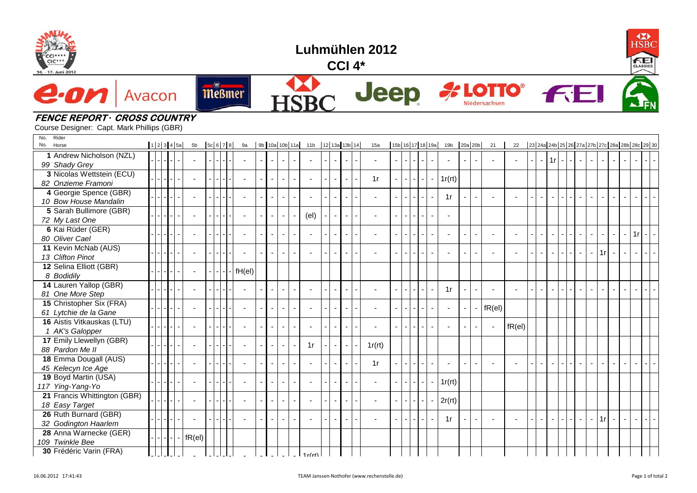



## **CCI 4\***

**A LOTTO**®

Niedersachsen



## e. o Avacon











Course Designer: Capt. Mark Phillips (GBR)

| Rider<br>No.<br>No.<br>Horse                      |  | 12345a | 5 <sub>b</sub>           | 5c 6 7 8       | 9a             |                          |                          |                          |        |        |                          | 9b 10a 10b 11a 11b 12 13a 13b 14 |                |                | 15a |        | 15b 16 17 18 19a |                          |                    |  | 19b 20a 20b    |                          |                          | 21                       | 22        |           |                          |                |        |           |                          |        | 23 24a 24b 25 26 27a 27b 27c 28a 28b 28c 29 30 |                          |          |  |
|---------------------------------------------------|--|--------|--------------------------|----------------|----------------|--------------------------|--------------------------|--------------------------|--------|--------|--------------------------|----------------------------------|----------------|----------------|-----|--------|------------------|--------------------------|--------------------|--|----------------|--------------------------|--------------------------|--------------------------|-----------|-----------|--------------------------|----------------|--------|-----------|--------------------------|--------|------------------------------------------------|--------------------------|----------|--|
| 1 Andrew Nicholson (NZL)<br>99 Shady Grey         |  |        |                          |                |                | $\sim$                   | $\sim$                   | $\sim$                   | $\sim$ | $\sim$ |                          |                                  | $\sim$         |                |     |        | $\sim$           | ÷.                       | $=$ $\overline{ }$ |  | $\sim$         |                          | $\overline{a}$           | $\sim$                   |           |           |                          | $-11r$ $-1$    |        |           | $\blacksquare$<br>$\sim$ | $\sim$ |                                                | $\sim$                   | $\sim$   |  |
| 3 Nicolas Wettstein (ECU)<br>82 Onzieme Framoni   |  |        | $\sim$                   |                |                | $\sim$                   | $\overline{\phantom{a}}$ | $\blacksquare$           | $\sim$ |        | $\sim$                   |                                  | $\sim$         | $\sim$         |     | 1r     |                  | $\overline{\phantom{0}}$ | ÷.                 |  | $\sim$         | 1r(rt)                   |                          |                          |           |           |                          |                |        |           |                          |        |                                                |                          |          |  |
| 4 Georgie Spence (GBR)<br>10 Bow House Mandalin   |  |        | $\overline{a}$           |                |                | $\overline{\phantom{a}}$ |                          | $\blacksquare$           | $\sim$ |        |                          |                                  |                |                |     |        |                  | $\mathbf{r}$             |                    |  |                | 1r                       |                          |                          |           |           | $\blacksquare$           | $\blacksquare$ | $\sim$ |           | $\sim$                   |        |                                                |                          |          |  |
| 5 Sarah Bullimore (GBR)<br>72 My Last One         |  |        | $\sim$                   |                |                | $\blacksquare$           | $\overline{\phantom{a}}$ | $\blacksquare$           | $\sim$ |        | $\left(\text{el}\right)$ |                                  | $\blacksquare$ | $\overline{a}$ |     | $\sim$ |                  | $\blacksquare$           |                    |  | $\blacksquare$ | $\overline{\phantom{a}}$ |                          |                          |           |           |                          |                |        |           |                          |        |                                                |                          |          |  |
| 6 Kai Rüder (GER)<br>80 Oliver Cael               |  |        | $\overline{\phantom{a}}$ |                |                | $\blacksquare$           |                          | $\overline{\phantom{a}}$ | $\sim$ |        | $\sim$                   |                                  |                |                |     |        | $\sim$           |                          |                    |  | $\overline{a}$ | $\overline{\phantom{a}}$ | $\overline{\phantom{a}}$ | $\overline{\phantom{a}}$ |           |           | $\sim$                   | $\sim$         | $\sim$ |           | $\sim$<br>$\sim$         | $\sim$ | $\sim$                                         | $\sim$                   | $1r$ -   |  |
| 11 Kevin McNab (AUS)<br>13 Clifton Pinot          |  |        |                          |                |                | $\blacksquare$           | $\overline{\phantom{a}}$ |                          | $\sim$ |        |                          |                                  |                |                |     |        |                  |                          |                    |  |                |                          |                          |                          |           |           | $\overline{\phantom{a}}$ |                | $\sim$ |           |                          | 1r     |                                                |                          |          |  |
| 12 Selina Elliott (GBR)<br>8 Bodidily             |  |        | $\blacksquare$           |                | fH(el)         |                          |                          |                          |        |        |                          |                                  |                |                |     |        |                  |                          |                    |  |                |                          |                          |                          |           |           |                          |                |        |           |                          |        |                                                |                          |          |  |
| 14 Lauren Yallop (GBR)<br>81 One More Step        |  |        | $\blacksquare$           |                | $\blacksquare$ |                          |                          |                          | $\sim$ |        |                          |                                  |                |                |     |        |                  |                          |                    |  | $\sim$         | 1r                       |                          | $\sim$                   |           |           | $\sim$                   | $\overline{a}$ | $\sim$ |           | $\sim$                   |        |                                                |                          |          |  |
| 15 Christopher Six (FRA)<br>61 Lytchie de la Gane |  |        | $\overline{\phantom{a}}$ |                |                | $\sim$                   |                          | $\blacksquare$           | $\sim$ |        | $\sim$                   |                                  | $\blacksquare$ |                |     |        | $\sim$           |                          |                    |  | $\sim$         | $\blacksquare$           |                          | $\sim$                   | $fR$ (el) |           |                          |                |        |           |                          |        |                                                |                          |          |  |
| 16 Aistis Vitkauskas (LTU)<br>1 AK's Galopper     |  |        | $\sim$                   | $\blacksquare$ | ÷.             |                          | $\blacksquare$           |                          | $\sim$ |        |                          |                                  |                |                |     |        |                  | $\blacksquare$           |                    |  | $\overline{a}$ |                          |                          |                          |           | $fR$ (el) |                          |                |        |           |                          |        |                                                |                          |          |  |
| 17 Emily Llewellyn (GBR)<br>88 Pardon Me II       |  |        | $\blacksquare$           |                |                | $\blacksquare$           | $\sim$                   | $\blacksquare$           | $\sim$ |        | 1r                       |                                  | $\blacksquare$ |                |     | 1r(rt) |                  |                          |                    |  |                |                          |                          |                          |           |           |                          |                |        |           |                          |        |                                                |                          |          |  |
| 18 Emma Dougall (AUS)<br>45 Kelecyn Ice Age       |  |        |                          |                | ÷.             |                          |                          | ÷,                       | $\sim$ |        |                          |                                  |                |                |     | 1r     |                  |                          |                    |  | $\sim$         |                          |                          |                          |           |           |                          |                |        |           | $\overline{a}$           | $\sim$ |                                                | $\overline{\phantom{a}}$ |          |  |
| 19 Boyd Martin (USA)<br>117 Ying-Yang-Yo          |  |        | $\overline{\phantom{a}}$ |                |                | $\blacksquare$           | $\sim$                   | $\blacksquare$           | $\sim$ |        |                          |                                  |                |                |     |        |                  | $\blacksquare$           |                    |  |                | 1r(rt)                   |                          |                          |           |           |                          |                |        |           |                          |        |                                                |                          |          |  |
| 21 Francis Whittington (GBR)<br>18 Easy Target    |  |        | $\blacksquare$           |                |                | $\sim$                   | $\blacksquare$           | $\overline{\phantom{a}}$ | $\sim$ |        |                          |                                  |                |                |     | $\sim$ |                  |                          |                    |  |                | 2r(rt)                   |                          |                          |           |           |                          |                |        |           |                          |        |                                                |                          |          |  |
| 26 Ruth Burnard (GBR)<br>32 Godington Haarlem     |  |        | $\overline{\phantom{a}}$ |                |                | $\overline{\phantom{a}}$ | $\sim$                   | $\blacksquare$           | $\sim$ |        |                          |                                  | $\overline{a}$ |                |     |        |                  |                          |                    |  |                | 1r                       |                          |                          |           |           | $\sim$                   | $\sim$         | $\sim$ | $\sim$ 1. | $\blacksquare$<br>$\sim$ | 1r     | $\sim$                                         | $\sim$                   | $\sim$ 1 |  |
| 28 Anna Warnecke (GER)<br>109 Twinkle Bee         |  |        | $fR$ (el)                |                |                |                          |                          |                          |        |        |                          |                                  |                |                |     |        |                  |                          |                    |  |                |                          |                          |                          |           |           |                          |                |        |           |                          |        |                                                |                          |          |  |
| 30 Frédéric Varin (FRA)                           |  |        |                          |                |                |                          |                          |                          |        |        |                          |                                  |                |                |     |        |                  |                          |                    |  |                |                          |                          |                          |           |           |                          |                |        |           |                          |        |                                                |                          |          |  |